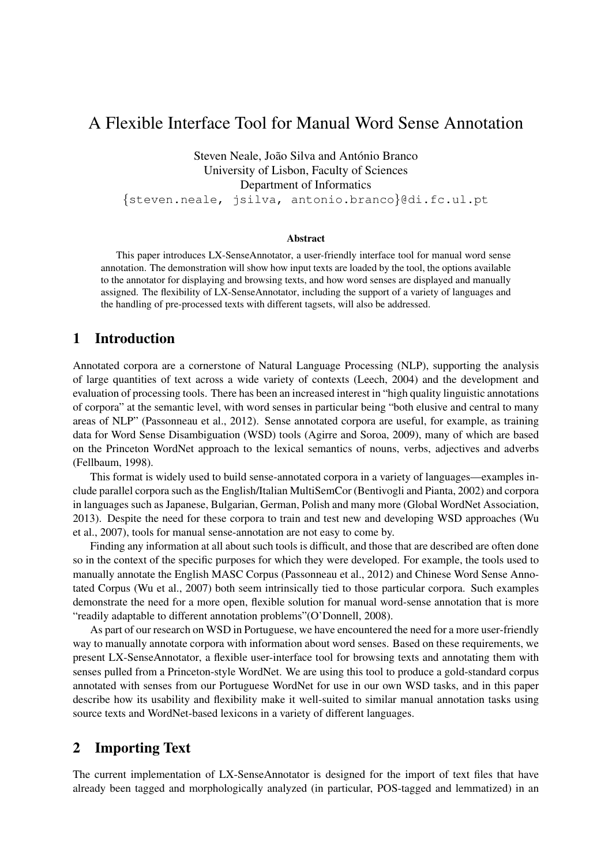# A Flexible Interface Tool for Manual Word Sense Annotation

Steven Neale, João Silva and António Branco University of Lisbon, Faculty of Sciences Department of Informatics

{steven.neale, jsilva, antonio.branco}@di.fc.ul.pt

#### Abstract

This paper introduces LX-SenseAnnotator, a user-friendly interface tool for manual word sense annotation. The demonstration will show how input texts are loaded by the tool, the options available to the annotator for displaying and browsing texts, and how word senses are displayed and manually assigned. The flexibility of LX-SenseAnnotator, including the support of a variety of languages and the handling of pre-processed texts with different tagsets, will also be addressed.

# 1 Introduction

Annotated corpora are a cornerstone of Natural Language Processing (NLP), supporting the analysis of large quantities of text across a wide variety of contexts (Leech, 2004) and the development and evaluation of processing tools. There has been an increased interest in "high quality linguistic annotations of corpora" at the semantic level, with word senses in particular being "both elusive and central to many areas of NLP" (Passonneau et al., 2012). Sense annotated corpora are useful, for example, as training data for Word Sense Disambiguation (WSD) tools (Agirre and Soroa, 2009), many of which are based on the Princeton WordNet approach to the lexical semantics of nouns, verbs, adjectives and adverbs (Fellbaum, 1998).

This format is widely used to build sense-annotated corpora in a variety of languages—examples include parallel corpora such as the English/Italian MultiSemCor (Bentivogli and Pianta, 2002) and corpora in languages such as Japanese, Bulgarian, German, Polish and many more (Global WordNet Association, 2013). Despite the need for these corpora to train and test new and developing WSD approaches (Wu et al., 2007), tools for manual sense-annotation are not easy to come by.

Finding any information at all about such tools is difficult, and those that are described are often done so in the context of the specific purposes for which they were developed. For example, the tools used to manually annotate the English MASC Corpus (Passonneau et al., 2012) and Chinese Word Sense Annotated Corpus (Wu et al., 2007) both seem intrinsically tied to those particular corpora. Such examples demonstrate the need for a more open, flexible solution for manual word-sense annotation that is more "readily adaptable to different annotation problems"(O'Donnell, 2008).

As part of our research on WSD in Portuguese, we have encountered the need for a more user-friendly way to manually annotate corpora with information about word senses. Based on these requirements, we present LX-SenseAnnotator, a flexible user-interface tool for browsing texts and annotating them with senses pulled from a Princeton-style WordNet. We are using this tool to produce a gold-standard corpus annotated with senses from our Portuguese WordNet for use in our own WSD tasks, and in this paper describe how its usability and flexibility make it well-suited to similar manual annotation tasks using source texts and WordNet-based lexicons in a variety of different languages.

## 2 Importing Text

The current implementation of LX-SenseAnnotator is designed for the import of text files that have already been tagged and morphologically analyzed (in particular, POS-tagged and lemmatized) in an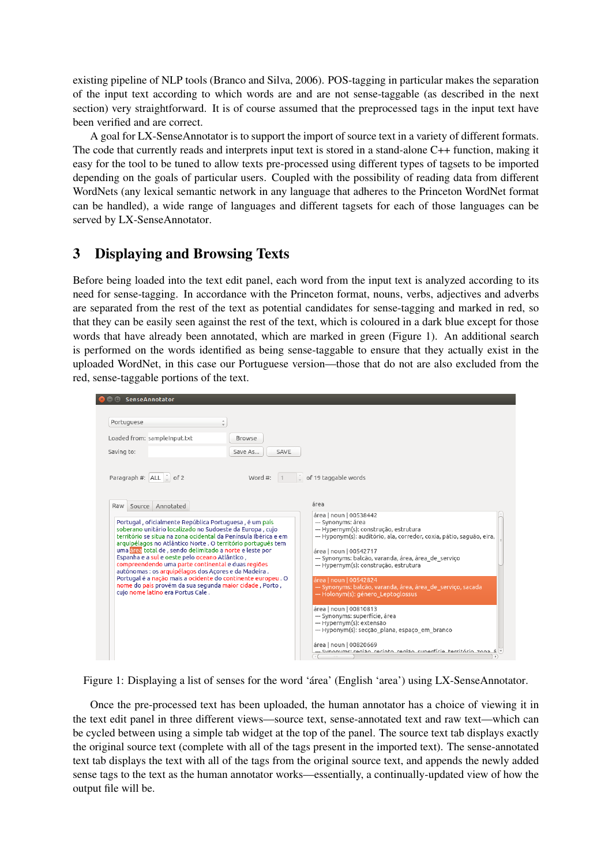existing pipeline of NLP tools (Branco and Silva, 2006). POS-tagging in particular makes the separation of the input text according to which words are and are not sense-taggable (as described in the next section) very straightforward. It is of course assumed that the preprocessed tags in the input text have been verified and are correct.

A goal for LX-SenseAnnotator is to support the import of source text in a variety of different formats. The code that currently reads and interprets input text is stored in a stand-alone C++ function, making it easy for the tool to be tuned to allow texts pre-processed using different types of tagsets to be imported depending on the goals of particular users. Coupled with the possibility of reading data from different WordNets (any lexical semantic network in any language that adheres to the Princeton WordNet format can be handled), a wide range of languages and different tagsets for each of those languages can be served by LX-SenseAnnotator.

# 3 Displaying and Browsing Texts

Before being loaded into the text edit panel, each word from the input text is analyzed according to its need for sense-tagging. In accordance with the Princeton format, nouns, verbs, adjectives and adverbs are separated from the rest of the text as potential candidates for sense-tagging and marked in red, so that they can be easily seen against the rest of the text, which is coloured in a dark blue except for those words that have already been annotated, which are marked in green (Figure 1). An additional search is performed on the words identified as being sense-taggable to ensure that they actually exist in the uploaded WordNet, in this case our Portuguese version—those that do not are also excluded from the red, sense-taggable portions of the text.

| Portuguese                                                                                                                                                                                                                                                                                                                                                                                                                                           | ż                                                    |                                                                                                                                                                                                                                                                                                     |
|------------------------------------------------------------------------------------------------------------------------------------------------------------------------------------------------------------------------------------------------------------------------------------------------------------------------------------------------------------------------------------------------------------------------------------------------------|------------------------------------------------------|-----------------------------------------------------------------------------------------------------------------------------------------------------------------------------------------------------------------------------------------------------------------------------------------------------|
| Loaded from: sampleInput.txt                                                                                                                                                                                                                                                                                                                                                                                                                         | <b>Browse</b>                                        |                                                                                                                                                                                                                                                                                                     |
| Saving to:<br>Paragraph #: ALL _ of 2                                                                                                                                                                                                                                                                                                                                                                                                                | Save As<br>SAVE<br>Word #: $1$                       | of 19 taggable words                                                                                                                                                                                                                                                                                |
| Source Annotated<br>Raw<br>Portugal, oficialmente República Portuguesa, é um país<br>soberano unitário localizado no Sudoeste da Europa, cujo<br>território se situa na zona ocidental da Península Ibérica e em<br>arquipélagos no Atlântico Norte . O território português tem<br>uma área total de , sendo delimitado a norte e leste por<br>Espanha e a sul e oeste pelo oceano Atlântico,<br>compreendendo uma parte continental e duas regiões | autónomas : os arquipélagos dos Acores e da Madeira. | área<br>área   noun   00538442<br>--- Synonyms: área<br>--- Hypernym(s): construção, estrutura<br>--- Hyponym(s): auditório, ala, corredor, coxia, pátio, saguão, eira,<br>área   noun   00542717<br>--- Synonyms: balcão, varanda, área, área de servico<br>--- Hypernym(s): construção, estrutura |



Once the pre-processed text has been uploaded, the human annotator has a choice of viewing it in the text edit panel in three different views—source text, sense-annotated text and raw text—which can be cycled between using a simple tab widget at the top of the panel. The source text tab displays exactly the original source text (complete with all of the tags present in the imported text). The sense-annotated text tab displays the text with all of the tags from the original source text, and appends the newly added sense tags to the text as the human annotator works—essentially, a continually-updated view of how the output file will be.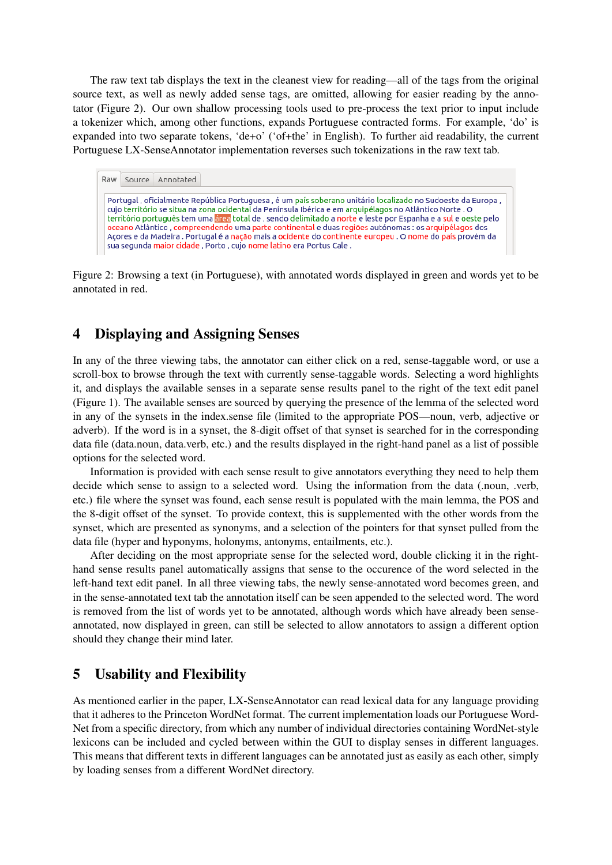The raw text tab displays the text in the cleanest view for reading—all of the tags from the original source text, as well as newly added sense tags, are omitted, allowing for easier reading by the annotator (Figure 2). Our own shallow processing tools used to pre-process the text prior to input include a tokenizer which, among other functions, expands Portuguese contracted forms. For example, 'do' is expanded into two separate tokens, 'de+o' ('of+the' in English). To further aid readability, the current Portuguese LX-SenseAnnotator implementation reverses such tokenizations in the raw text tab.

#### Raw Source Annotated

Portugal, oficialmente República Portuguesa, é um país soberano unitário localizado no Sudoeste da Europa, cujo território se situa na zona ocidental da Península Ibérica e em arquipélagos no Atlântico Norte . O território português tem uma área total de , sendo delimitado a norte e leste por Espanha e a sul e oeste pelo oceano Atlântico, compreendendo uma parte continental e duas regiões autónomas : os arquipélagos dos Açores e da Madeira . Portugal é a nação mais a ocidente do continente europeu . O nome do país provém da sua segunda maior cidade, Porto, cujo nome latino era Portus Cale.

Figure 2: Browsing a text (in Portuguese), with annotated words displayed in green and words yet to be annotated in red.

## 4 Displaying and Assigning Senses

In any of the three viewing tabs, the annotator can either click on a red, sense-taggable word, or use a scroll-box to browse through the text with currently sense-taggable words. Selecting a word highlights it, and displays the available senses in a separate sense results panel to the right of the text edit panel (Figure 1). The available senses are sourced by querying the presence of the lemma of the selected word in any of the synsets in the index.sense file (limited to the appropriate POS—noun, verb, adjective or adverb). If the word is in a synset, the 8-digit offset of that synset is searched for in the corresponding data file (data.noun, data.verb, etc.) and the results displayed in the right-hand panel as a list of possible options for the selected word.

Information is provided with each sense result to give annotators everything they need to help them decide which sense to assign to a selected word. Using the information from the data (.noun, .verb, etc.) file where the synset was found, each sense result is populated with the main lemma, the POS and the 8-digit offset of the synset. To provide context, this is supplemented with the other words from the synset, which are presented as synonyms, and a selection of the pointers for that synset pulled from the data file (hyper and hyponyms, holonyms, antonyms, entailments, etc.).

After deciding on the most appropriate sense for the selected word, double clicking it in the righthand sense results panel automatically assigns that sense to the occurence of the word selected in the left-hand text edit panel. In all three viewing tabs, the newly sense-annotated word becomes green, and in the sense-annotated text tab the annotation itself can be seen appended to the selected word. The word is removed from the list of words yet to be annotated, although words which have already been senseannotated, now displayed in green, can still be selected to allow annotators to assign a different option should they change their mind later.

## 5 Usability and Flexibility

As mentioned earlier in the paper, LX-SenseAnnotator can read lexical data for any language providing that it adheres to the Princeton WordNet format. The current implementation loads our Portuguese Word-Net from a specific directory, from which any number of individual directories containing WordNet-style lexicons can be included and cycled between within the GUI to display senses in different languages. This means that different texts in different languages can be annotated just as easily as each other, simply by loading senses from a different WordNet directory.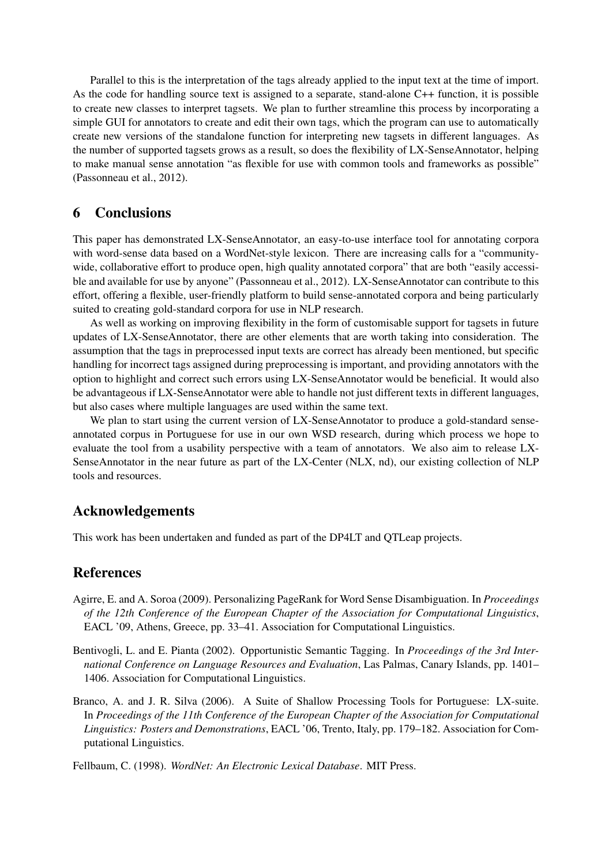Parallel to this is the interpretation of the tags already applied to the input text at the time of import. As the code for handling source text is assigned to a separate, stand-alone C++ function, it is possible to create new classes to interpret tagsets. We plan to further streamline this process by incorporating a simple GUI for annotators to create and edit their own tags, which the program can use to automatically create new versions of the standalone function for interpreting new tagsets in different languages. As the number of supported tagsets grows as a result, so does the flexibility of LX-SenseAnnotator, helping to make manual sense annotation "as flexible for use with common tools and frameworks as possible" (Passonneau et al., 2012).

#### 6 Conclusions

This paper has demonstrated LX-SenseAnnotator, an easy-to-use interface tool for annotating corpora with word-sense data based on a WordNet-style lexicon. There are increasing calls for a "communitywide, collaborative effort to produce open, high quality annotated corpora" that are both "easily accessible and available for use by anyone" (Passonneau et al., 2012). LX-SenseAnnotator can contribute to this effort, offering a flexible, user-friendly platform to build sense-annotated corpora and being particularly suited to creating gold-standard corpora for use in NLP research.

As well as working on improving flexibility in the form of customisable support for tagsets in future updates of LX-SenseAnnotator, there are other elements that are worth taking into consideration. The assumption that the tags in preprocessed input texts are correct has already been mentioned, but specific handling for incorrect tags assigned during preprocessing is important, and providing annotators with the option to highlight and correct such errors using LX-SenseAnnotator would be beneficial. It would also be advantageous if LX-SenseAnnotator were able to handle not just different texts in different languages, but also cases where multiple languages are used within the same text.

We plan to start using the current version of LX-SenseAnnotator to produce a gold-standard senseannotated corpus in Portuguese for use in our own WSD research, during which process we hope to evaluate the tool from a usability perspective with a team of annotators. We also aim to release LX-SenseAnnotator in the near future as part of the LX-Center (NLX, nd), our existing collection of NLP tools and resources.

#### Acknowledgements

This work has been undertaken and funded as part of the DP4LT and QTLeap projects.

#### References

- Agirre, E. and A. Soroa (2009). Personalizing PageRank for Word Sense Disambiguation. In *Proceedings of the 12th Conference of the European Chapter of the Association for Computational Linguistics*, EACL '09, Athens, Greece, pp. 33–41. Association for Computational Linguistics.
- Bentivogli, L. and E. Pianta (2002). Opportunistic Semantic Tagging. In *Proceedings of the 3rd International Conference on Language Resources and Evaluation*, Las Palmas, Canary Islands, pp. 1401– 1406. Association for Computational Linguistics.
- Branco, A. and J. R. Silva (2006). A Suite of Shallow Processing Tools for Portuguese: LX-suite. In *Proceedings of the 11th Conference of the European Chapter of the Association for Computational Linguistics: Posters and Demonstrations*, EACL '06, Trento, Italy, pp. 179–182. Association for Computational Linguistics.

Fellbaum, C. (1998). *WordNet: An Electronic Lexical Database*. MIT Press.